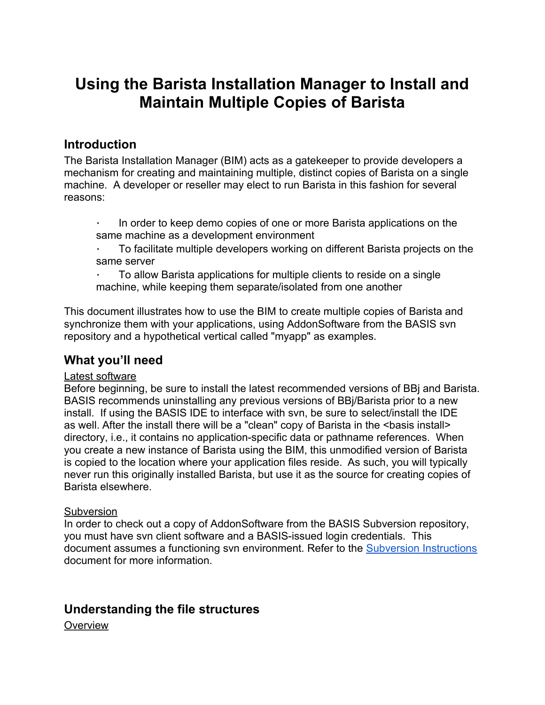# **Using the Barista Installation Manager to Install and Maintain Multiple Copies of Barista**

### **Introduction**

The Barista Installation Manager (BIM) acts as a gatekeeper to provide developers a mechanism for creating and maintaining multiple, distinct copies of Barista on a single machine. A developer or reseller may elect to run Barista in this fashion for several reasons:

∙ In order to keep demo copies of one or more Barista applications on the same machine as a development environment

∙ To facilitate multiple developers working on different Barista projects on the same server

∙ To allow Barista applications for multiple clients to reside on a single machine, while keeping them separate/isolated from one another

This document illustrates how to use the BIM to create multiple copies of Barista and synchronize them with your applications, using AddonSoftware from the BASIS svn repository and a hypothetical vertical called "myapp" as examples.

# **What you'll need**

### Latest software

Before beginning, be sure to install the latest recommended versions of BBj and Barista. BASIS recommends uninstalling any previous versions of BBj/Barista prior to a new install. If using the BASIS IDE to interface with svn, be sure to select/install the IDE as well. After the install there will be a "clean" copy of Barista in the <br install> directory, i.e., it contains no application-specific data or pathname references. When you create a new instance of Barista using the BIM, this unmodified version of Barista is copied to the location where your application files reside. As such, you will typically never run this originally installed Barista, but use it as the source for creating copies of Barista elsewhere.

### **Subversion**

In order to check out a copy of AddonSoftware from the BASIS Subversion repository, you must have svn client software and a BASIS-issued login credentials. This document assumes a functioning svn environment. Refer to the [Subversion Instructions](https://docs.google.com/a/basis.com/document/d/14wRR9bXGJK6CIsXV7ijGDXsWgrs7y7_Y9aHn2yTi5JQ/edit) document for more information.

# **Understanding the file structures**

**Overview**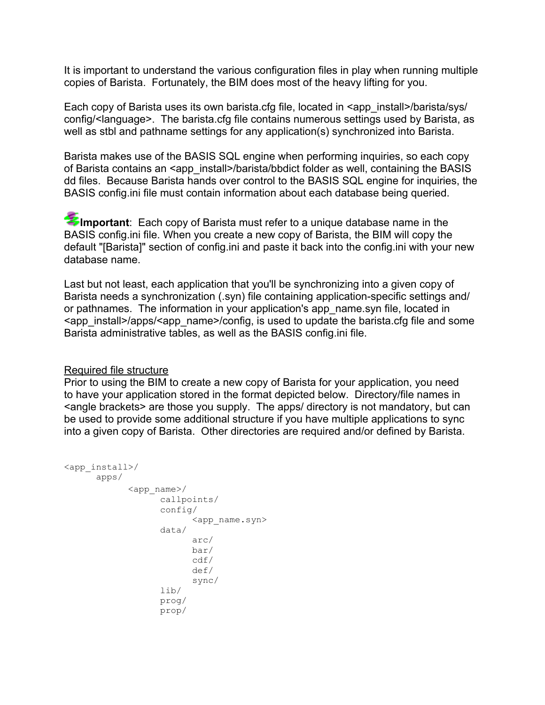It is important to understand the various configuration files in play when running multiple copies of Barista. Fortunately, the BIM does most of the heavy lifting for you.

Each copy of Barista uses its own barista.cfg file, located in <app\_install>/barista/sys/ config/<language>. The barista.cfg file contains numerous settings used by Barista, as well as stbl and pathname settings for any application(s) synchronized into Barista.

Barista makes use of the BASIS SQL engine when performing inquiries, so each copy of Barista contains an <app\_install>/barista/bbdict folder as well, containing the BASIS dd files. Because Barista hands over control to the BASIS SQL engine for inquiries, the BASIS config.ini file must contain information about each database being queried.

Important: Each copy of Barista must refer to a unique database name in the BASIS config.ini file. When you create a new copy of Barista, the BIM will copy the default "[Barista]" section of config.ini and paste it back into the config.ini with your new database name.

Last but not least, each application that you'll be synchronizing into a given copy of Barista needs a synchronization (.syn) file containing application-specific settings and/ or pathnames. The information in your application's app\_name.syn file, located in <app\_install>/apps/<app\_name>/config, is used to update the barista.cfg file and some Barista administrative tables, as well as the BASIS config.ini file.

#### Required file structure

Prior to using the BIM to create a new copy of Barista for your application, you need to have your application stored in the format depicted below. Directory/file names in <angle brackets> are those you supply. The apps/ directory is not mandatory, but can be used to provide some additional structure if you have multiple applications to sync into a given copy of Barista. Other directories are required and/or defined by Barista.

```
<app_install>/
     apps/
           <app_name>/
                 callpoints/
                  config/
                       <app_name.syn>
                 data/
                       arc/
                       bar/
                       cdf/
                       def/
                       sync/
                  lib/
                 prog/
                  prop/
```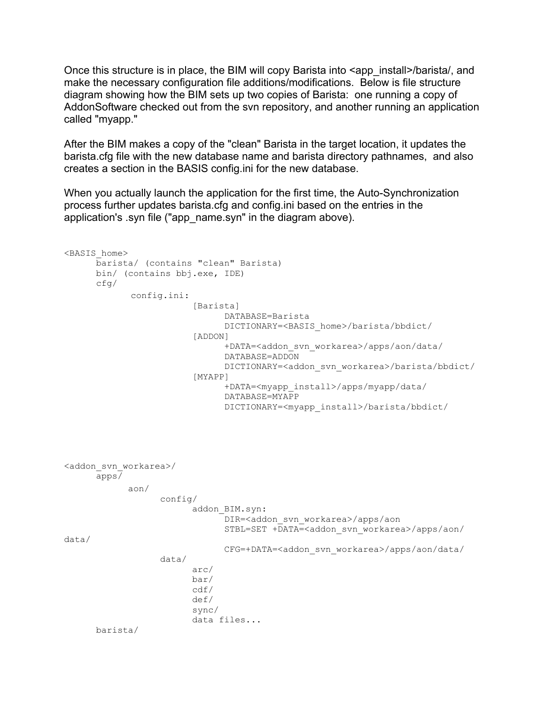Once this structure is in place, the BIM will copy Barista into  $\alpha$  app install>/barista/, and make the necessary configuration file additions/modifications. Below is file structure diagram showing how the BIM sets up two copies of Barista: one running a copy of AddonSoftware checked out from the svn repository, and another running an application called "myapp."

After the BIM makes a copy of the "clean" Barista in the target location, it updates the barista.cfg file with the new database name and barista directory pathnames, and also creates a section in the BASIS config.ini for the new database.

When you actually launch the application for the first time, the Auto-Synchronization process further updates barista.cfg and config.ini based on the entries in the application's .syn file ("app\_name.syn" in the diagram above).

```
<BASIS_home>
      barista/ (contains "clean" Barista)
      bin/ (contains bbj.exe, IDE)
      cfg/
                                      config.ini:
                          [Barista]
                                DATABASE=Barista
                                 DICTIONARY=<BASIS_home>/barista/bbdict/
                           [ADDON]
                                 +DATA=<addon_svn_workarea>/apps/aon/data/
                                 DATABASE=ADDON
                                 DICTIONARY=<addon_svn_workarea>/barista/bbdict/
                           [MYAPP]
                                 +DATA=<myapp_install>/apps/myapp/data/
                                 DATABASE=MYAPP
                                 DICTIONARY=<myapp_install>/barista/bbdict/
<addon_svn_workarea>/
      apps/
             aon/                                   
                    config/
                          addon_BIM.syn:
                                 DIR=<addon_svn_workarea>/apps/aon
                                 STBL=SET +DATA=<addon_svn_workarea>/apps/aon/
data/
                                 CFG=+DATA=<addon_svn_workarea>/apps/aon/data/
                    data/
                          arc/
                          bar/
                          cdf/
                          def/
                          sync/
                          data files...
      barista/
```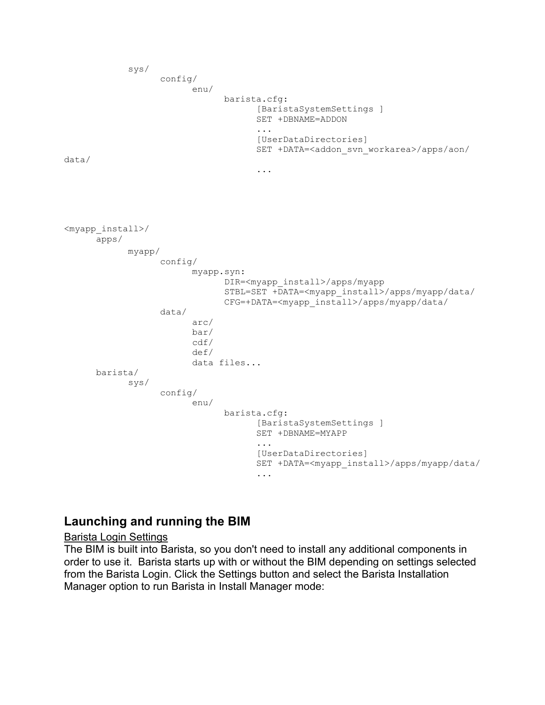```
sys/
                   config/
                          enu/
                                barista.cfg:
                                       [BaristaSystemSettings ]
                                       SET +DBNAME=ADDON
                                       ...
                                       [UserDataDirectories]
                                       SET +DATA=<addon svn workarea>/apps/aon/
data/
                                       ...
<myapp_install>/
      apps/
             myapp/                                   
                   config/
                          myapp.syn:
                                 DIR=<myapp_install>/apps/myapp
                                 STBL=SET +DATA=<myapp_install>/apps/myapp/data/
                                CFG=+DATA=<myapp_install>/apps/myapp/data/
                   data/
                          arc/
                          bar/
                          cdf/
                          def/
                          data files...
      barista/
             sys/
                   config/
                          enu/
                                 barista.cfg:
                                       [BaristaSystemSettings ]
                                       SET +DBNAME=MYAPP
                                       ...
                                       [UserDataDirectories]
                                       SET +DATA=<myapp_install>/apps/myapp/data/
                                        ...
```
# **Launching and running the BIM**

#### Barista Login Settings

The BIM is built into Barista, so you don't need to install any additional components in order to use it. Barista starts up with or without the BIM depending on settings selected from the Barista Login. Click the Settings button and select the Barista Installation Manager option to run Barista in Install Manager mode: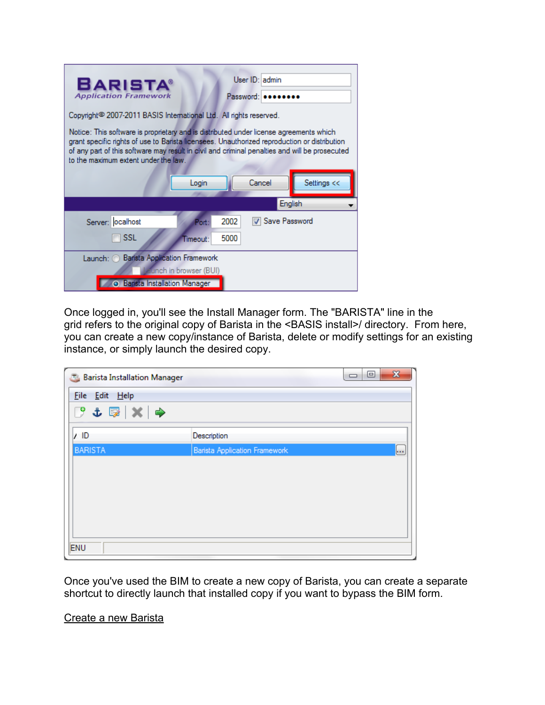| <b>BARISTA®</b><br><b>Application Framework</b>                                                                                                                                                                                                                                                                                  |               | User ID: admin<br>Password: |             |
|----------------------------------------------------------------------------------------------------------------------------------------------------------------------------------------------------------------------------------------------------------------------------------------------------------------------------------|---------------|-----------------------------|-------------|
| Copyright <sup>®</sup> 2007-2011 BASIS International Ltd. All rights reserved.                                                                                                                                                                                                                                                   |               |                             |             |
| Notice: This software is proprietary and is distributed under license agreements which<br>grant specific rights of use to Barista licensees. Unauthorized reproduction or distribution<br>of any part of this software may result in civil and criminal penalties and will be prosecuted<br>to the maximum extent under the law. |               |                             |             |
| Login                                                                                                                                                                                                                                                                                                                            |               | Cancel                      | Settings << |
|                                                                                                                                                                                                                                                                                                                                  |               |                             | English     |
| Server: ocalhost                                                                                                                                                                                                                                                                                                                 | 2002<br>Port: | V Save Password             |             |
| <b>SSL</b><br>Timeout:                                                                                                                                                                                                                                                                                                           | 5000          |                             |             |
| Launch: Barista Application Framework<br>funch in browser (BUI)<br><b>Barista Installation Manager</b>                                                                                                                                                                                                                           |               |                             |             |

Once logged in, you'll see the Install Manager form. The "BARISTA" line in the grid refers to the original copy of Barista in the <BASIS install>/ directory. From here, you can create a new copy/instance of Barista, delete or modify settings for an existing instance, or simply launch the desired copy.

| <b>Barista Installation Manager</b> | $\mathbf{x}$<br>▣<br>U                       |
|-------------------------------------|----------------------------------------------|
| File Edit Help                      |                                              |
| $9 \tpm 2 \times 1$                 |                                              |
| /1D                                 | Description                                  |
| <b>BARISTA</b>                      | <b>Barista Application Framework</b><br>lo i |
|                                     |                                              |
|                                     |                                              |
|                                     |                                              |
|                                     |                                              |
|                                     |                                              |
| ENU                                 |                                              |

Once you've used the BIM to create a new copy of Barista, you can create a separate shortcut to directly launch that installed copy if you want to bypass the BIM form.

Create a new Barista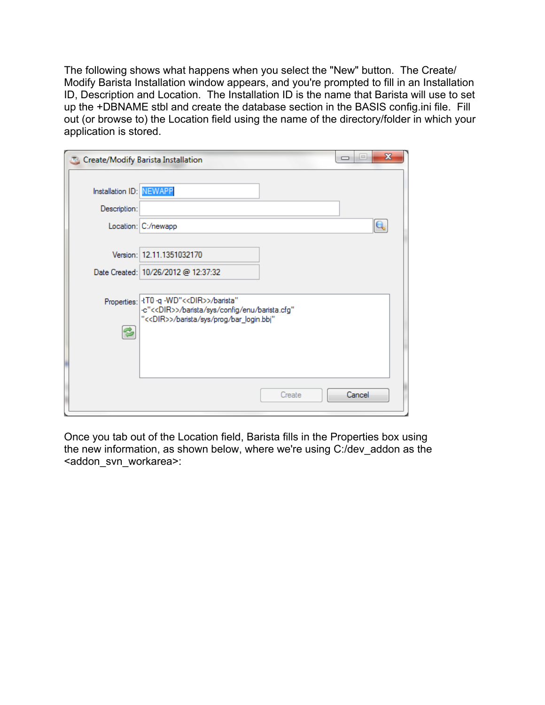The following shows what happens when you select the "New" button. The Create/ Modify Barista Installation window appears, and you're prompted to fill in an Installation ID, Description and Location. The Installation ID is the name that Barista will use to set up the +DBNAME stbl and create the database section in the BASIS config.ini file. Fill out (or browse to) the Location field using the name of the directory/folder in which your application is stored.

|                                         | Create/Modify Barista Installation                                                                                                                               | $\mathbf{x}$<br>$\equiv$<br>$\Box$ |
|-----------------------------------------|------------------------------------------------------------------------------------------------------------------------------------------------------------------|------------------------------------|
| Installation ID: NEWAPP<br>Description: |                                                                                                                                                                  |                                    |
|                                         | Location: C:/newapp                                                                                                                                              |                                    |
|                                         | Version: 12.11.1351032170<br>Date Created: 10/26/2012 @ 12:37:32                                                                                                 |                                    |
|                                         | Properties:   +T0 -q -WD" << DIR>>/barista"<br>-c"< <dir>&gt;/barista/sys/config/enu/barista.cfg"<br/>"&lt;<dir>&gt;/barista/sys/prog/bar_login.bbj"</dir></dir> |                                    |
|                                         | Create                                                                                                                                                           | Cancel                             |

Once you tab out of the Location field, Barista fills in the Properties box using the new information, as shown below, where we're using C:/dev\_addon as the <addon\_svn\_workarea>: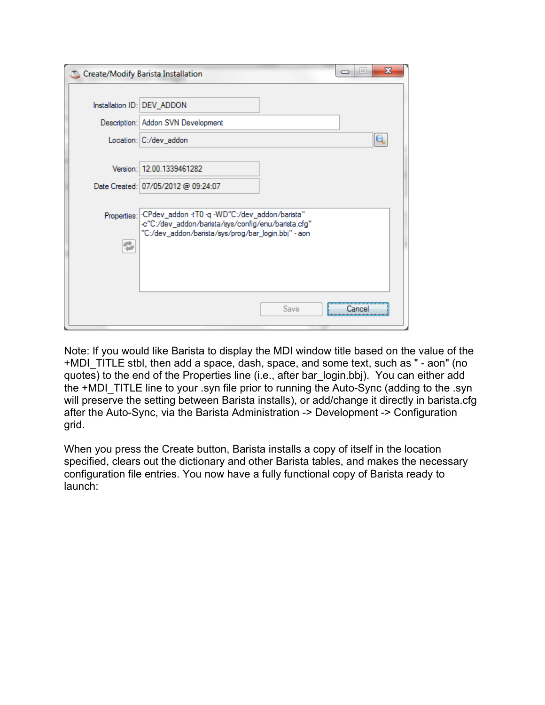|             | Create/Modify Barista Installation                                                                                                                           | х<br>i=<br>$\Box$ |
|-------------|--------------------------------------------------------------------------------------------------------------------------------------------------------------|-------------------|
|             | Installation ID: DEV_ADDON                                                                                                                                   |                   |
|             | Description: Addon SVN Development                                                                                                                           |                   |
|             | Location: C:/dev_addon                                                                                                                                       |                   |
|             | Version: 12.00.1339461282<br>Date Created: 07/05/2012 @ 09:24:07                                                                                             |                   |
| Properties: | -CPdev_addon -tT0 -q -WD"C:/dev_addon/barista"<br>-c"C:/dev_addon/barista/sys/config/enu/barista.cfg"<br>"C:/dev_addon/barista/sys/prog/bar_login.bbj" - aon |                   |
|             | Save                                                                                                                                                         |                   |

Note: If you would like Barista to display the MDI window title based on the value of the +MDI\_TITLE stbl, then add a space, dash, space, and some text, such as " - aon" (no quotes) to the end of the Properties line (i.e., after bar\_login.bbj). You can either add the +MDI\_TITLE line to your .syn file prior to running the Auto-Sync (adding to the .syn will preserve the setting between Barista installs), or add/change it directly in barista.cfg after the Auto-Sync, via the Barista Administration -> Development -> Configuration grid.

When you press the Create button, Barista installs a copy of itself in the location specified, clears out the dictionary and other Barista tables, and makes the necessary configuration file entries. You now have a fully functional copy of Barista ready to launch: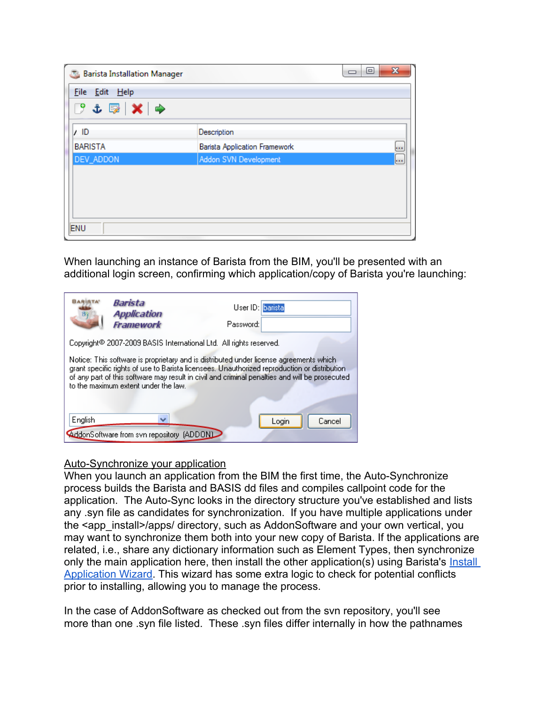| <b>Barista Installation Manager</b>    |                                      | $\mathbf{x}$<br>▣<br>$\Box$ |
|----------------------------------------|--------------------------------------|-----------------------------|
| File Edit Help                         |                                      |                             |
| $C$ $L \mathbb{R}  X  \Leftrightarrow$ |                                      |                             |
| 7 ID                                   | Description                          |                             |
| <b>BARISTA</b>                         | <b>Barista Application Framework</b> |                             |
| DEV_ADDON                              | Addon SVN Development                | <b>I</b>                    |
|                                        |                                      |                             |
|                                        |                                      |                             |
|                                        |                                      |                             |
| ENU                                    |                                      |                             |

When launching an instance of Barista from the BIM, you'll be presented with an additional login screen, confirming which application/copy of Barista you're launching:

|                                                                                                                                                                                                                                                                                                                                  | Barista<br><b>Application</b><br>Framework | User ID: barista<br>Password: |                 |
|----------------------------------------------------------------------------------------------------------------------------------------------------------------------------------------------------------------------------------------------------------------------------------------------------------------------------------|--------------------------------------------|-------------------------------|-----------------|
| Copyright® 2007-2009 BASIS International Ltd. All rights reserved.                                                                                                                                                                                                                                                               |                                            |                               |                 |
| Notice: This software is proprietary and is distributed under license agreements which<br>grant specific rights of use to Barista licensees. Unauthorized reproduction or distribution<br>of any part of this software may result in civil and criminal penalties and will be prosecuted<br>to the maximum extent under the law. |                                            |                               |                 |
| English                                                                                                                                                                                                                                                                                                                          |                                            |                               |                 |
|                                                                                                                                                                                                                                                                                                                                  | AddonSoftware from svn repository [ADDON]  |                               | Login<br>Cancel |

### Auto-Synchronize your application

When you launch an application from the BIM the first time, the Auto-Synchronize process builds the Barista and BASIS dd files and compiles callpoint code for the application. The Auto-Sync looks in the directory structure you've established and lists any .syn file as candidates for synchronization. If you have multiple applications under the <app\_install>/apps/ directory, such as AddonSoftware and your own vertical, you may want to synchronize them both into your new copy of Barista. If the applications are related, i.e., share any dictionary information such as Element Types, then synchronize only the main application here, then install the other application(s) using Barista's *Install* [Application Wizard](https://docs.google.com/a/basis.com/document/d/1twS7PNfDVlCP9F1LO1z-oEXMM6Z_t3sekjJBeDozMb0/edit). This wizard has some extra logic to check for potential conflicts prior to installing, allowing you to manage the process.

In the case of AddonSoftware as checked out from the svn repository, you'll see more than one .syn file listed. These .syn files differ internally in how the pathnames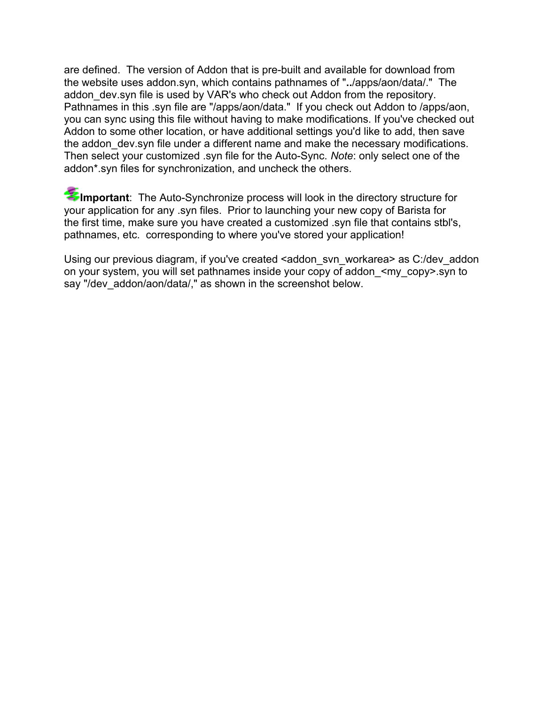are defined. The version of Addon that is pre-built and available for download from the website uses addon.syn, which contains pathnames of "**..**/apps/aon/data/." The addon dev.syn file is used by VAR's who check out Addon from the repository. Pathnames in this .syn file are "/apps/aon/data." If you check out Addon to /apps/aon, you can sync using this file without having to make modifications. If you've checked out Addon to some other location, or have additional settings you'd like to add, then save the addon dev.syn file under a different name and make the necessary modifications. Then select your customized .syn file for the Auto-Sync. *Note*: only select one of the addon\*.syn files for synchronization, and uncheck the others.

Important: The Auto-Synchronize process will look in the directory structure for your application for any .syn files. Prior to launching your new copy of Barista for the first time, make sure you have created a customized .syn file that contains stbl's, pathnames, etc. corresponding to where you've stored your application!

Using our previous diagram, if you've created <addon svn workarea> as C:/dev\_addon on your system, you will set pathnames inside your copy of addon\_<my\_copy>.syn to say "/dev\_addon/aon/data/," as shown in the screenshot below.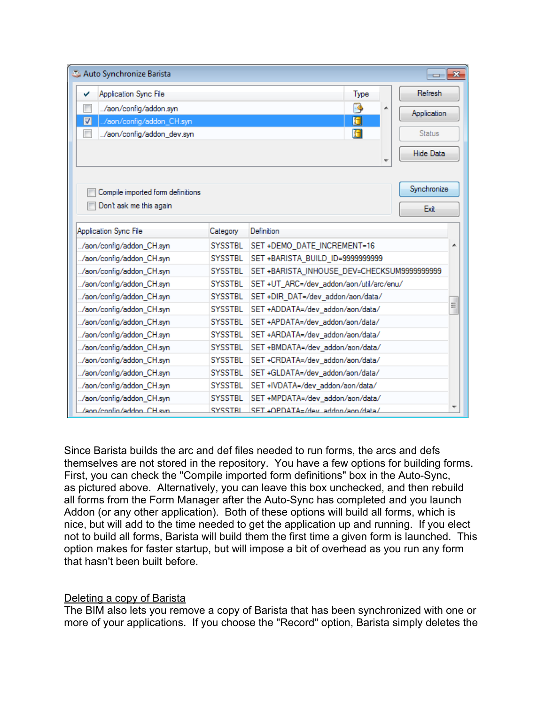| Auto Synchronize Barista<br>$\mathbf{x}$<br>$\Box$   |                |                                             |         |               |
|------------------------------------------------------|----------------|---------------------------------------------|---------|---------------|
| <b>Application Sync File</b><br>✓                    |                |                                             | Type    | Refresh       |
| /aon/config/addon.syn                                |                |                                             | F.<br>▲ | Application   |
| $\overline{\mathbf{v}}$<br>./aon/config/addon_CH.syn |                |                                             | 0       |               |
| /aon/config/addon_dev.syn                            |                |                                             | 6       | <b>Status</b> |
|                                                      |                |                                             |         | Hide Data     |
|                                                      |                |                                             |         |               |
|                                                      |                |                                             |         |               |
| Compile imported form definitions                    |                |                                             |         | Synchronize   |
| Don't ask me this again                              |                |                                             |         |               |
|                                                      |                |                                             |         | Exit          |
| Application Sync File                                | Category       | Definition                                  |         |               |
| /aon/config/addon_CH.syn                             | <b>SYSSTBL</b> | SET +DEMO_DATE_INCREMENT=16                 |         |               |
| /aon/config/addon_CH.syn                             | <b>SYSSTBL</b> | SET +BARISTA_BUILD_ID=9999999999            |         |               |
| /aon/config/addon_CH.syn                             | <b>SYSSTBL</b> | SET +BARISTA_INHOUSE_DEV=CHECKSUM9999999999 |         |               |
| /aon/config/addon_CH.syn                             | <b>SYSSTBL</b> | SET +UT_ARC=/dev_addon/aon/util/arc/enu/    |         |               |
| /aon/config/addon_CH.syn                             | <b>SYSSTBL</b> | SET +DIR_DAT=/dev_addon/aon/data/           |         |               |
| /aon/config/addon_CH.syn                             | <b>SYSSTBL</b> | Ξ<br>SET +ADDATA=/dev_addon/aon/data/       |         |               |
| /aon/config/addon_CH.syn                             | <b>SYSSTBL</b> | SET +APDATA=/dev_addon/aon/data/            |         |               |
| /aon/config/addon_CH.syn                             | <b>SYSSTBL</b> | SET +ARDATA=/dev_addon/aon/data/            |         |               |
| /aon/config/addon_CH.syn                             | <b>SYSSTBL</b> | SET +BMDATA=/dev_addon/aon/data/            |         |               |
| /aon/config/addon_CH.syn                             | <b>SYSSTBL</b> | SET +CRDATA=/dev_addon/aon/data/            |         |               |
| /aon/config/addon_CH.syn                             | <b>SYSSTBL</b> | SET +GLDATA=/dev_addon/aon/data/            |         |               |
| /aon/config/addon_CH.syn                             | <b>SYSSTBL</b> | SET +IVDATA=/dev_addon/aon/data/            |         |               |
| /aon/config/addon_CH.syn                             | <b>SYSSTBL</b> | SET +MPDATA=/dev_addon/aon/data/            |         |               |
| /ann/confin/addon CH syn                             | SYSSTRI        | SET +OPDATA=/dev_addon/aon/data/            |         |               |

Since Barista builds the arc and def files needed to run forms, the arcs and defs themselves are not stored in the repository. You have a few options for building forms. First, you can check the "Compile imported form definitions" box in the Auto-Sync, as pictured above. Alternatively, you can leave this box unchecked, and then rebuild all forms from the Form Manager after the Auto-Sync has completed and you launch Addon (or any other application). Both of these options will build all forms, which is nice, but will add to the time needed to get the application up and running. If you elect not to build all forms, Barista will build them the first time a given form is launched. This option makes for faster startup, but will impose a bit of overhead as you run any form that hasn't been built before.

#### Deleting a copy of Barista

The BIM also lets you remove a copy of Barista that has been synchronized with one or more of your applications. If you choose the "Record" option, Barista simply deletes the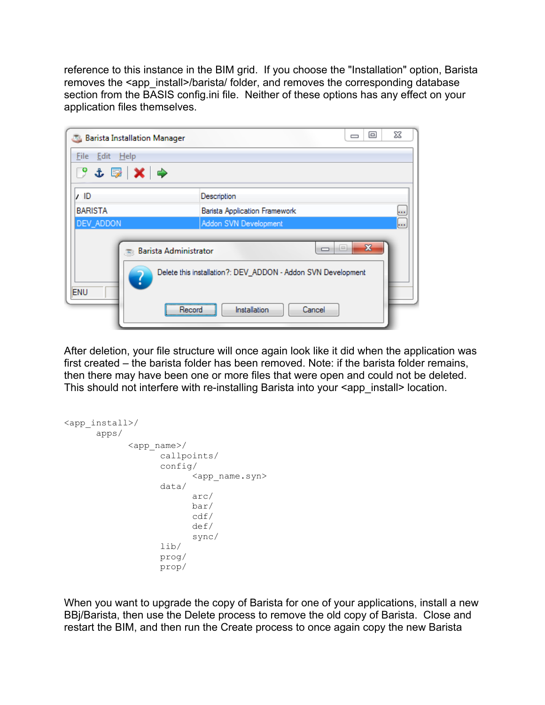reference to this instance in the BIM grid. If you choose the "Installation" option, Barista removes the <app\_install>/barista/ folder, and removes the corresponding database section from the BASIS config.ini file. Neither of these options has any effect on your application files themselves.



After deletion, your file structure will once again look like it did when the application was first created – the barista folder has been removed. Note: if the barista folder remains, then there may have been one or more files that were open and could not be deleted. This should not interfere with re-installing Barista into your <app\_install> location.

```
<app_install>/
      apps/
            <app_name>/
                   callpoints/
                   config/
                         <app_name.syn>
                   data/
                         arc/
                         bar/
                         cdf/
                         def/
                         sync/
                   lib/
                   prog/
                   prop/
```
When you want to upgrade the copy of Barista for one of your applications, install a new BBj/Barista, then use the Delete process to remove the old copy of Barista. Close and restart the BIM, and then run the Create process to once again copy the new Barista